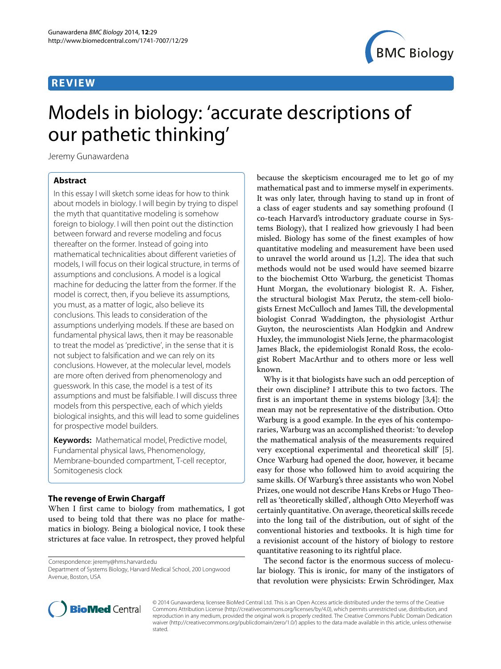## **REVIEW**



# Models in biology: 'accurate descriptions of our pathetic thinking'

Jeremy Gunawardena

## **Abstract**

In this essay I will sketch some ideas for how to think about models in biology. I will begin by trying to dispel the myth that quantitative modeling is somehow foreign to biology. I will then point out the distinction between forward and reverse modeling and focus thereafter on the former. Instead of going into mathematical technicalities about different varieties of models, I will focus on their logical structure, in terms of assumptions and conclusions. A model is a logical machine for deducing the latter from the former. If the model is correct, then, if you believe its assumptions, you must, as a matter of logic, also believe its conclusions. This leads to consideration of the assumptions underlying models. If these are based on fundamental physical laws, then it may be reasonable to treat the model as 'predictive', in the sense that it is not subject to falsification and we can rely on its conclusions. However, at the molecular level, models are more often derived from phenomenology and guesswork. In this case, the model is a test of its assumptions and must be falsifiable. I will discuss three models from this perspective, each of which yields biological insights, and this will lead to some guidelines for prospective model builders.

**Keywords:** Mathematical model, Predictive model, Fundamental physical laws, Phenomenology, Membrane-bounded compartment, T-cell receptor, Somitogenesis clock

## **The revenge of Erwin Chargaff**

When I first came to biology from mathematics, I got used to being told that there was no place for mathematics in biology. Being a biological novice, I took these strictures at face value. In retrospect, they proved helpful

Correspondence: [jeremy@hms.harvard.edu](mailto: jeremy@hms.harvard.edu)

Department of Systems Biology, Harvard Medical School, 200 Longwood Avenue, Boston, USA

because the skepticism encouraged me to let go of my mathematical past and to immerse myself in experiments. It was only later, through having to stand up in front of a class of eager students and say something profound (I co-teach Harvard's introductory graduate course in Systems Biology), that I realized how grievously I had been misled. Biology has some of the finest examples of how quantitative modeling and measurement have been used to unravel the world around us [\[1](#page-9-0)[,2\]](#page-9-1). The idea that such methods would not be used would have seemed bizarre to the biochemist Otto Warburg, the geneticist Thomas Hunt Morgan, the evolutionary biologist R. A. Fisher, the structural biologist Max Perutz, the stem-cell biologists Ernest McCulloch and James Till, the developmental biologist Conrad Waddington, the physiologist Arthur Guyton, the neuroscientists Alan Hodgkin and Andrew Huxley, the immunologist Niels Jerne, the pharmacologist James Black, the epidemiologist Ronald Ross, the ecologist Robert MacArthur and to others more or less well known.

Why is it that biologists have such an odd perception of their own discipline? I attribute this to two factors. The first is an important theme in systems biology [\[3](#page-9-2)[,4\]](#page-9-3): the mean may not be representative of the distribution. Otto Warburg is a good example. In the eyes of his contemporaries, Warburg was an accomplished theorist: 'to develop the mathematical analysis of the measurements required very exceptional experimental and theoretical skill' [\[5\]](#page-9-4). Once Warburg had opened the door, however, it became easy for those who followed him to avoid acquiring the same skills. Of Warburg's three assistants who won Nobel Prizes, one would not describe Hans Krebs or Hugo Theorell as 'theoretically skilled', although Otto Meyerhoff was certainly quantitative. On average, theoretical skills recede into the long tail of the distribution, out of sight of the conventional histories and textbooks. It is high time for a revisionist account of the history of biology to restore quantitative reasoning to its rightful place.

The second factor is the enormous success of molecular biology. This is ironic, for many of the instigators of that revolution were physicists: Erwin Schrödinger, Max



© 2014 Gunawardena; licensee BioMed Central Ltd. This is an Open Access article distributed under the terms of the Creative Commons Attribution License [\(http://creativecommons.org/licenses/by/4.0\)](http://creativecommons.org/licenses/by/4.0), which permits unrestricted use, distribution, and reproduction in any medium, provided the original work is properly credited. The Creative Commons Public Domain Dedication waiver [\(http://creativecommons.org/publicdomain/zero/1.0/\)](http://creativecommons.org/publicdomain/zero/1.0/) applies to the data made available in this article, unless otherwise stated.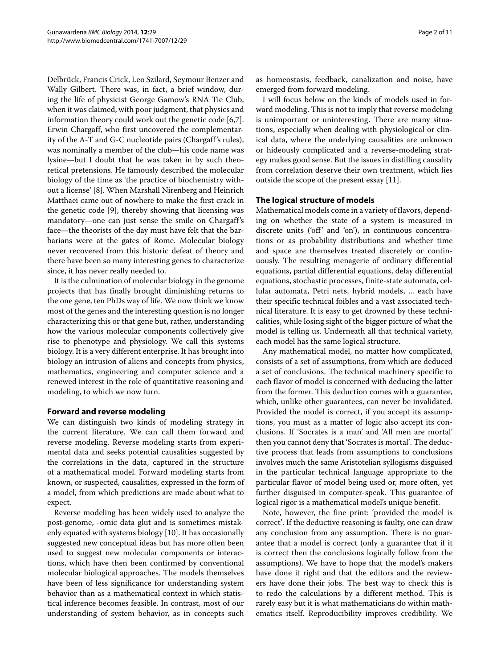Delbrück, Francis Crick, Leo Szilard, Seymour Benzer and Wally Gilbert. There was, in fact, a brief window, during the life of physicist George Gamow's RNA Tie Club, when it was claimed, with poor judgment, that physics and information theory could work out the genetic code [\[6](#page-9-5)[,7\]](#page-9-6). Erwin Chargaff, who first uncovered the complementarity of the A-T and G-C nucleotide pairs (Chargaff's rules), was nominally a member of the club—his code name was lysine—but I doubt that he was taken in by such theoretical pretensions. He famously described the molecular biology of the time as 'the practice of biochemistry without a license' [\[8\]](#page-9-7). When Marshall Nirenberg and Heinrich Matthaei came out of nowhere to make the first crack in the genetic code [\[9\]](#page-9-8), thereby showing that licensing was mandatory—one can just sense the smile on Chargaff's face—the theorists of the day must have felt that the barbarians were at the gates of Rome. Molecular biology never recovered from this historic defeat of theory and there have been so many interesting genes to characterize since, it has never really needed to.

It is the culmination of molecular biology in the genome projects that has finally brought diminishing returns to the one gene, ten PhDs way of life. We now think we know most of the genes and the interesting question is no longer characterizing this or that gene but, rather, understanding how the various molecular components collectively give rise to phenotype and physiology. We call this systems biology. It is a very different enterprise. It has brought into biology an intrusion of aliens and concepts from physics, mathematics, engineering and computer science and a renewed interest in the role of quantitative reasoning and modeling, to which we now turn.

## **Forward and reverse modeling**

We can distinguish two kinds of modeling strategy in the current literature. We can call them forward and reverse modeling. Reverse modeling starts from experimental data and seeks potential causalities suggested by the correlations in the data, captured in the structure of a mathematical model. Forward modeling starts from known, or suspected, causalities, expressed in the form of a model, from which predictions are made about what to expect.

Reverse modeling has been widely used to analyze the post-genome, -omic data glut and is sometimes mistakenly equated with systems biology [\[10\]](#page-9-9). It has occasionally suggested new conceptual ideas but has more often been used to suggest new molecular components or interactions, which have then been confirmed by conventional molecular biological approaches. The models themselves have been of less significance for understanding system behavior than as a mathematical context in which statistical inference becomes feasible. In contrast, most of our understanding of system behavior, as in concepts such

as homeostasis, feedback, canalization and noise, have emerged from forward modeling.

I will focus below on the kinds of models used in forward modeling. This is not to imply that reverse modeling is unimportant or uninteresting. There are many situations, especially when dealing with physiological or clinical data, where the underlying causalities are unknown or hideously complicated and a reverse-modeling strategy makes good sense. But the issues in distilling causality from correlation deserve their own treatment, which lies outside the scope of the present essay [\[11\]](#page-9-10).

## **The logical structure of models**

Mathematical models come in a variety of flavors, depending on whether the state of a system is measured in discrete units ('off' and 'on'), in continuous concentrations or as probability distributions and whether time and space are themselves treated discretely or continuously. The resulting menagerie of ordinary differential equations, partial differential equations, delay differential equations, stochastic processes, finite-state automata, cellular automata, Petri nets, hybrid models, ... each have their specific technical foibles and a vast associated technical literature. It is easy to get drowned by these technicalities, while losing sight of the bigger picture of what the model is telling us. Underneath all that technical variety, each model has the same logical structure.

Any mathematical model, no matter how complicated, consists of a set of assumptions, from which are deduced a set of conclusions. The technical machinery specific to each flavor of model is concerned with deducing the latter from the former. This deduction comes with a guarantee, which, unlike other guarantees, can never be invalidated. Provided the model is correct, if you accept its assumptions, you must as a matter of logic also accept its conclusions. If 'Socrates is a man' and 'All men are mortal' then you cannot deny that 'Socrates is mortal'. The deductive process that leads from assumptions to conclusions involves much the same Aristotelian syllogisms disguised in the particular technical language appropriate to the particular flavor of model being used or, more often, yet further disguised in computer-speak. This guarantee of logical rigor is a mathematical model's unique benefit.

Note, however, the fine print: 'provided the model is correct'. If the deductive reasoning is faulty, one can draw any conclusion from any assumption. There is no guarantee that a model is correct (only a guarantee that if it is correct then the conclusions logically follow from the assumptions). We have to hope that the model's makers have done it right and that the editors and the reviewers have done their jobs. The best way to check this is to redo the calculations by a different method. This is rarely easy but it is what mathematicians do within mathematics itself. Reproducibility improves credibility. We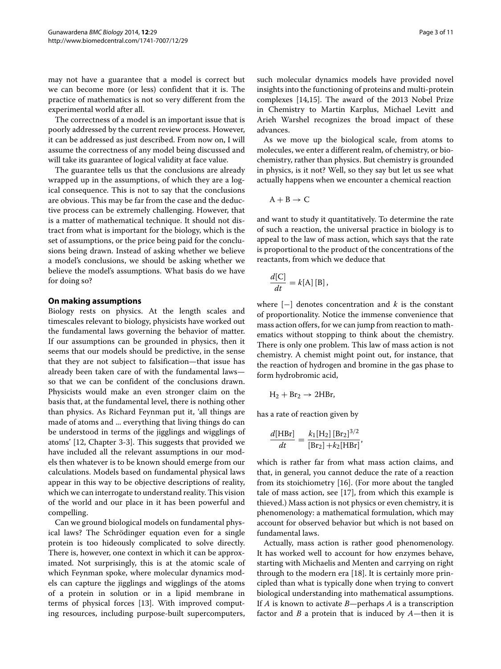may not have a guarantee that a model is correct but we can become more (or less) confident that it is. The practice of mathematics is not so very different from the experimental world after all.

The correctness of a model is an important issue that is poorly addressed by the current review process. However, it can be addressed as just described. From now on, I will assume the correctness of any model being discussed and will take its guarantee of logical validity at face value.

The guarantee tells us that the conclusions are already wrapped up in the assumptions, of which they are a logical consequence. This is not to say that the conclusions are obvious. This may be far from the case and the deductive process can be extremely challenging. However, that is a matter of mathematical technique. It should not distract from what is important for the biology, which is the set of assumptions, or the price being paid for the conclusions being drawn. Instead of asking whether we believe a model's conclusions, we should be asking whether we believe the model's assumptions. What basis do we have for doing so?

#### **On making assumptions**

Biology rests on physics. At the length scales and timescales relevant to biology, physicists have worked out the fundamental laws governing the behavior of matter. If our assumptions can be grounded in physics, then it seems that our models should be predictive, in the sense that they are not subject to falsification—that issue has already been taken care of with the fundamental laws so that we can be confident of the conclusions drawn. Physicists would make an even stronger claim on the basis that, at the fundamental level, there is nothing other than physics. As Richard Feynman put it, 'all things are made of atoms and ... everything that living things do can be understood in terms of the jigglings and wigglings of atoms' [\[12,](#page-9-11) Chapter 3-3]. This suggests that provided we have included all the relevant assumptions in our models then whatever is to be known should emerge from our calculations. Models based on fundamental physical laws appear in this way to be objective descriptions of reality, which we can interrogate to understand reality. This vision of the world and our place in it has been powerful and compelling.

Can we ground biological models on fundamental physical laws? The Schrödinger equation even for a single protein is too hideously complicated to solve directly. There is, however, one context in which it can be approximated. Not surprisingly, this is at the atomic scale of which Feynman spoke, where molecular dynamics models can capture the jigglings and wigglings of the atoms of a protein in solution or in a lipid membrane in terms of physical forces [\[13\]](#page-9-12). With improved computing resources, including purpose-built supercomputers,

such molecular dynamics models have provided novel insights into the functioning of proteins and multi-protein complexes [\[14](#page-9-13)[,15\]](#page-9-14). The award of the 2013 Nobel Prize in Chemistry to Martin Karplus, Michael Levitt and Arieh Warshel recognizes the broad impact of these advances.

As we move up the biological scale, from atoms to molecules, we enter a different realm, of chemistry, or biochemistry, rather than physics. But chemistry is grounded in physics, is it not? Well, so they say but let us see what actually happens when we encounter a chemical reaction

$$
\mathrm{A}+\mathrm{B}\rightarrow\mathrm{C}
$$

and want to study it quantitatively. To determine the rate of such a reaction, the universal practice in biology is to appeal to the law of mass action, which says that the rate is proportional to the product of the concentrations of the reactants, from which we deduce that

$$
\frac{d[C]}{dt} = k[A][B],
$$

where [−] denotes concentration and *k* is the constant of proportionality. Notice the immense convenience that mass action offers, for we can jump from reaction to mathematics without stopping to think about the chemistry. There is only one problem. This law of mass action is not chemistry. A chemist might point out, for instance, that the reaction of hydrogen and bromine in the gas phase to form hydrobromic acid,

$$
H_2 + Br_2 \rightarrow 2HBr,
$$

has a rate of reaction given by

$$
\frac{d[\text{HBr}]}{dt} = \frac{k_1[\text{H}_2] [\text{Br}_2]^{3/2}}{[\text{Br}_2] + k_2[\text{HBr}]},
$$

which is rather far from what mass action claims, and that, in general, you cannot deduce the rate of a reaction from its stoichiometry [\[16\]](#page-10-0). (For more about the tangled tale of mass action, see [\[17\]](#page-10-1), from which this example is thieved.) Mass action is not physics or even chemistry, it is phenomenology: a mathematical formulation, which may account for observed behavior but which is not based on fundamental laws.

Actually, mass action is rather good phenomenology. It has worked well to account for how enzymes behave, starting with Michaelis and Menten and carrying on right through to the modern era [\[18\]](#page-10-2). It is certainly more principled than what is typically done when trying to convert biological understanding into mathematical assumptions. If *A* is known to activate *B*—perhaps *A* is a transcription factor and *B* a protein that is induced by *A*—then it is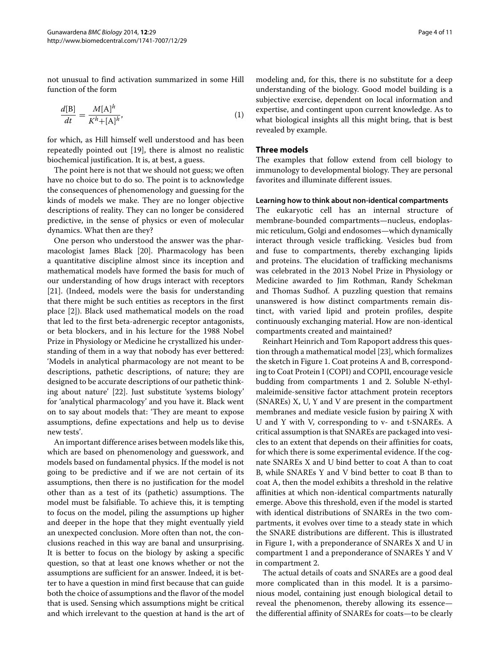not unusual to find activation summarized in some Hill function of the form

$$
\frac{d[\mathbf{B}]}{dt} = \frac{M[\mathbf{A}]^h}{K^h + [\mathbf{A}]^h},\tag{1}
$$

for which, as Hill himself well understood and has been repeatedly pointed out [\[19\]](#page-10-3), there is almost no realistic biochemical justification. It is, at best, a guess.

The point here is not that we should not guess; we often have no choice but to do so. The point is to acknowledge the consequences of phenomenology and guessing for the kinds of models we make. They are no longer objective descriptions of reality. They can no longer be considered predictive, in the sense of physics or even of molecular dynamics. What then are they?

One person who understood the answer was the pharmacologist James Black [\[20\]](#page-10-4). Pharmacology has been a quantitative discipline almost since its inception and mathematical models have formed the basis for much of our understanding of how drugs interact with receptors [\[21\]](#page-10-5). (Indeed, models were the basis for understanding that there might be such entities as receptors in the first place [\[2\]](#page-9-1)). Black used mathematical models on the road that led to the first beta-adrenergic receptor antagonists, or beta blockers, and in his lecture for the 1988 Nobel Prize in Physiology or Medicine he crystallized his understanding of them in a way that nobody has ever bettered: 'Models in analytical pharmacology are not meant to be descriptions, pathetic descriptions, of nature; they are designed to be accurate descriptions of our pathetic thinking about nature' [\[22\]](#page-10-6). Just substitute 'systems biology' for 'analytical pharmacology' and you have it. Black went on to say about models that: 'They are meant to expose assumptions, define expectations and help us to devise new tests'.

An important difference arises between models like this, which are based on phenomenology and guesswork, and models based on fundamental physics. If the model is not going to be predictive and if we are not certain of its assumptions, then there is no justification for the model other than as a test of its (pathetic) assumptions. The model must be falsifiable. To achieve this, it is tempting to focus on the model, piling the assumptions up higher and deeper in the hope that they might eventually yield an unexpected conclusion. More often than not, the conclusions reached in this way are banal and unsurprising. It is better to focus on the biology by asking a specific question, so that at least one knows whether or not the assumptions are sufficient for an answer. Indeed, it is better to have a question in mind first because that can guide both the choice of assumptions and the flavor of the model that is used. Sensing which assumptions might be critical and which irrelevant to the question at hand is the art of modeling and, for this, there is no substitute for a deep understanding of the biology. Good model building is a subjective exercise, dependent on local information and expertise, and contingent upon current knowledge. As to what biological insights all this might bring, that is best revealed by example.

### **Three models**

The examples that follow extend from cell biology to immunology to developmental biology. They are personal favorites and illuminate different issues.

#### **Learning how to think about non-identical compartments**

The eukaryotic cell has an internal structure of membrane-bounded compartments—nucleus, endoplasmic reticulum, Golgi and endosomes—which dynamically interact through vesicle trafficking. Vesicles bud from and fuse to compartments, thereby exchanging lipids and proteins. The elucidation of trafficking mechanisms was celebrated in the 2013 Nobel Prize in Physiology or Medicine awarded to Jim Rothman, Randy Schekman and Thomas Sudhof. A puzzling question that remains unanswered is how distinct compartments remain distinct, with varied lipid and protein profiles, despite continuously exchanging material. How are non-identical compartments created and maintained?

Reinhart Heinrich and Tom Rapoport address this question through a mathematical model [\[23\]](#page-10-7), which formalizes the sketch in Figure [1.](#page-4-0) Coat proteins A and B, corresponding to Coat Protein I (COPI) and COPII, encourage vesicle budding from compartments 1 and 2. Soluble N-ethylmaleimide-sensitive factor attachment protein receptors (SNAREs) X, U, Y and V are present in the compartment membranes and mediate vesicle fusion by pairing X with U and Y with V, corresponding to v- and t-SNAREs. A critical assumption is that SNAREs are packaged into vesicles to an extent that depends on their affinities for coats, for which there is some experimental evidence. If the cognate SNAREs X and U bind better to coat A than to coat B, while SNAREs Y and V bind better to coat B than to coat A, then the model exhibits a threshold in the relative affinities at which non-identical compartments naturally emerge. Above this threshold, even if the model is started with identical distributions of SNAREs in the two compartments, it evolves over time to a steady state in which the SNARE distributions are different. This is illustrated in Figure [1,](#page-4-0) with a preponderance of SNAREs X and U in compartment 1 and a preponderance of SNAREs Y and V in compartment 2.

The actual details of coats and SNAREs are a good deal more complicated than in this model. It is a parsimonious model, containing just enough biological detail to reveal the phenomenon, thereby allowing its essence the differential affinity of SNAREs for coats—to be clearly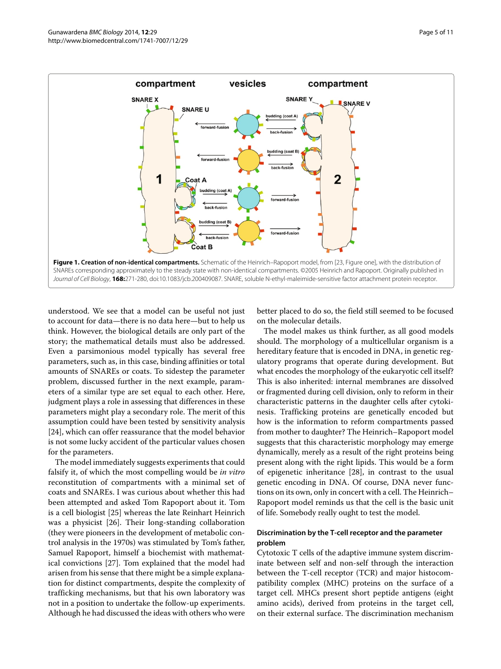

<span id="page-4-0"></span>understood. We see that a model can be useful not just to account for data—there is no data here—but to help us think. However, the biological details are only part of the story; the mathematical details must also be addressed. Even a parsimonious model typically has several free parameters, such as, in this case, binding affinities or total amounts of SNAREs or coats. To sidestep the parameter problem, discussed further in the next example, parameters of a similar type are set equal to each other. Here, judgment plays a role in assessing that differences in these parameters might play a secondary role. The merit of this assumption could have been tested by sensitivity analysis [\[24\]](#page-10-8), which can offer reassurance that the model behavior is not some lucky accident of the particular values chosen for the parameters.

The model immediately suggests experiments that could falsify it, of which the most compelling would be *in vitro* reconstitution of compartments with a minimal set of coats and SNAREs. I was curious about whether this had been attempted and asked Tom Rapoport about it. Tom is a cell biologist [\[25\]](#page-10-9) whereas the late Reinhart Heinrich was a physicist [\[26\]](#page-10-10). Their long-standing collaboration (they were pioneers in the development of metabolic control analysis in the 1970s) was stimulated by Tom's father, Samuel Rapoport, himself a biochemist with mathematical convictions [\[27\]](#page-10-11). Tom explained that the model had arisen from his sense that there might be a simple explanation for distinct compartments, despite the complexity of trafficking mechanisms, but that his own laboratory was not in a position to undertake the follow-up experiments. Although he had discussed the ideas with others who were

better placed to do so, the field still seemed to be focused on the molecular details.

The model makes us think further, as all good models should. The morphology of a multicellular organism is a hereditary feature that is encoded in DNA, in genetic regulatory programs that operate during development. But what encodes the morphology of the eukaryotic cell itself? This is also inherited: internal membranes are dissolved or fragmented during cell division, only to reform in their characteristic patterns in the daughter cells after cytokinesis. Trafficking proteins are genetically encoded but how is the information to reform compartments passed from mother to daughter? The Heinrich–Rapoport model suggests that this characteristic morphology may emerge dynamically, merely as a result of the right proteins being present along with the right lipids. This would be a form of epigenetic inheritance [\[28\]](#page-10-12), in contrast to the usual genetic encoding in DNA. Of course, DNA never functions on its own, only in concert with a cell. The Heinrich– Rapoport model reminds us that the cell is the basic unit of life. Somebody really ought to test the model.

## **Discrimination by the T-cell receptor and the parameter problem**

Cytotoxic T cells of the adaptive immune system discriminate between self and non-self through the interaction between the T-cell receptor (TCR) and major histocompatibility complex (MHC) proteins on the surface of a target cell. MHCs present short peptide antigens (eight amino acids), derived from proteins in the target cell, on their external surface. The discrimination mechanism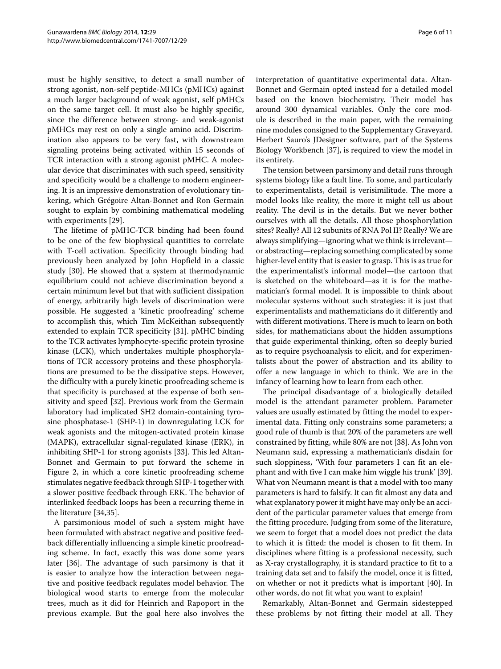must be highly sensitive, to detect a small number of strong agonist, non-self peptide-MHCs (pMHCs) against a much larger background of weak agonist, self pMHCs on the same target cell. It must also be highly specific, since the difference between strong- and weak-agonist pMHCs may rest on only a single amino acid. Discrimination also appears to be very fast, with downstream signaling proteins being activated within 15 seconds of TCR interaction with a strong agonist pMHC. A molecular device that discriminates with such speed, sensitivity and specificity would be a challenge to modern engineering. It is an impressive demonstration of evolutionary tinkering, which Grégoire Altan-Bonnet and Ron Germain sought to explain by combining mathematical modeling with experiments [\[29\]](#page-10-13).

The lifetime of pMHC-TCR binding had been found to be one of the few biophysical quantities to correlate with T-cell activation. Specificity through binding had previously been analyzed by John Hopfield in a classic study [\[30\]](#page-10-14). He showed that a system at thermodynamic equilibrium could not achieve discrimination beyond a certain minimum level but that with sufficient dissipation of energy, arbitrarily high levels of discrimination were possible. He suggested a 'kinetic proofreading' scheme to accomplish this, which Tim McKeithan subsequently extended to explain TCR specificity [\[31\]](#page-10-15). pMHC binding to the TCR activates lymphocyte-specific protein tyrosine kinase (LCK), which undertakes multiple phosphorylations of TCR accessory proteins and these phosphorylations are presumed to be the dissipative steps. However, the difficulty with a purely kinetic proofreading scheme is that specificity is purchased at the expense of both sensitivity and speed [\[32\]](#page-10-16). Previous work from the Germain laboratory had implicated SH2 domain-containing tyrosine phosphatase-1 (SHP-1) in downregulating LCK for weak agonists and the mitogen-activated protein kinase (MAPK), extracellular signal-regulated kinase (ERK), in inhibiting SHP-1 for strong agonists [\[33\]](#page-10-17). This led Altan-Bonnet and Germain to put forward the scheme in Figure [2,](#page-6-0) in which a core kinetic proofreading scheme stimulates negative feedback through SHP-1 together with a slower positive feedback through ERK. The behavior of interlinked feedback loops has been a recurring theme in the literature [\[34](#page-10-18)[,35\]](#page-10-19).

A parsimonious model of such a system might have been formulated with abstract negative and positive feedback differentially influencing a simple kinetic proofreading scheme. In fact, exactly this was done some years later [\[36\]](#page-10-20). The advantage of such parsimony is that it is easier to analyze how the interaction between negative and positive feedback regulates model behavior. The biological wood starts to emerge from the molecular trees, much as it did for Heinrich and Rapoport in the previous example. But the goal here also involves the

interpretation of quantitative experimental data. Altan-Bonnet and Germain opted instead for a detailed model based on the known biochemistry. Their model has around 300 dynamical variables. Only the core module is described in the main paper, with the remaining nine modules consigned to the Supplementary Graveyard. Herbert Sauro's JDesigner software, part of the Systems Biology Workbench [\[37\]](#page-10-21), is required to view the model in its entirety.

The tension between parsimony and detail runs through systems biology like a fault line. To some, and particularly to experimentalists, detail is verisimilitude. The more a model looks like reality, the more it might tell us about reality. The devil is in the details. But we never bother ourselves with all the details. All those phosphorylation sites? Really? All 12 subunits of RNA Pol II? Really? We are always simplifying—ignoring what we think is irrelevant or abstracting—replacing something complicated by some higher-level entity that is easier to grasp. This is as true for the experimentalist's informal model—the cartoon that is sketched on the whiteboard—as it is for the mathematician's formal model. It is impossible to think about molecular systems without such strategies: it is just that experimentalists and mathematicians do it differently and with different motivations. There is much to learn on both sides, for mathematicians about the hidden assumptions that guide experimental thinking, often so deeply buried as to require psychoanalysis to elicit, and for experimentalists about the power of abstraction and its ability to offer a new language in which to think. We are in the infancy of learning how to learn from each other.

The principal disadvantage of a biologically detailed model is the attendant parameter problem. Parameter values are usually estimated by fitting the model to experimental data. Fitting only constrains some parameters; a good rule of thumb is that 20% of the parameters are well constrained by fitting, while 80% are not [\[38\]](#page-10-22). As John von Neumann said, expressing a mathematician's disdain for such sloppiness, 'With four parameters I can fit an elephant and with five I can make him wiggle his trunk' [\[39\]](#page-10-23). What von Neumann meant is that a model with too many parameters is hard to falsify. It can fit almost any data and what explanatory power it might have may only be an accident of the particular parameter values that emerge from the fitting procedure. Judging from some of the literature, we seem to forget that a model does not predict the data to which it is fitted: the model is chosen to fit them. In disciplines where fitting is a professional necessity, such as X-ray crystallography, it is standard practice to fit to a training data set and to falsify the model, once it is fitted, on whether or not it predicts what is important [\[40\]](#page-10-24). In other words, do not fit what you want to explain!

Remarkably, Altan-Bonnet and Germain sidestepped these problems by not fitting their model at all. They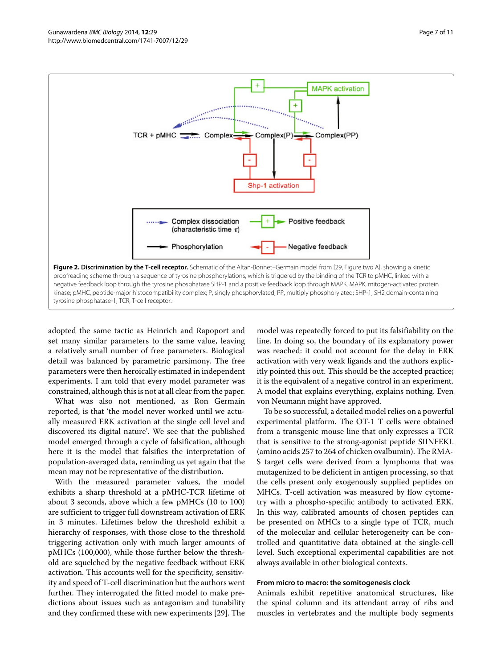

<span id="page-6-0"></span>adopted the same tactic as Heinrich and Rapoport and set many similar parameters to the same value, leaving a relatively small number of free parameters. Biological detail was balanced by parametric parsimony. The free parameters were then heroically estimated in independent experiments. I am told that every model parameter was constrained, although this is not at all clear from the paper.

What was also not mentioned, as Ron Germain reported, is that 'the model never worked until we actually measured ERK activation at the single cell level and discovered its digital nature'. We see that the published model emerged through a cycle of falsification, although here it is the model that falsifies the interpretation of population-averaged data, reminding us yet again that the mean may not be representative of the distribution.

With the measured parameter values, the model exhibits a sharp threshold at a pMHC-TCR lifetime of about 3 seconds, above which a few pMHCs (10 to 100) are sufficient to trigger full downstream activation of ERK in 3 minutes. Lifetimes below the threshold exhibit a hierarchy of responses, with those close to the threshold triggering activation only with much larger amounts of pMHCs (100,000), while those further below the threshold are squelched by the negative feedback without ERK activation. This accounts well for the specificity, sensitivity and speed of T-cell discrimination but the authors went further. They interrogated the fitted model to make predictions about issues such as antagonism and tunability and they confirmed these with new experiments [\[29\]](#page-10-13). The

model was repeatedly forced to put its falsifiability on the line. In doing so, the boundary of its explanatory power was reached: it could not account for the delay in ERK activation with very weak ligands and the authors explicitly pointed this out. This should be the accepted practice; it is the equivalent of a negative control in an experiment. A model that explains everything, explains nothing. Even von Neumann might have approved.

To be so successful, a detailed model relies on a powerful experimental platform. The OT-1 T cells were obtained from a transgenic mouse line that only expresses a TCR that is sensitive to the strong-agonist peptide SIINFEKL (amino acids 257 to 264 of chicken ovalbumin). The RMA-S target cells were derived from a lymphoma that was mutagenized to be deficient in antigen processing, so that the cells present only exogenously supplied peptides on MHCs. T-cell activation was measured by flow cytometry with a phospho-specific antibody to activated ERK. In this way, calibrated amounts of chosen peptides can be presented on MHCs to a single type of TCR, much of the molecular and cellular heterogeneity can be controlled and quantitative data obtained at the single-cell level. Such exceptional experimental capabilities are not always available in other biological contexts.

#### **From micro to macro: the somitogenesis clock**

Animals exhibit repetitive anatomical structures, like the spinal column and its attendant array of ribs and muscles in vertebrates and the multiple body segments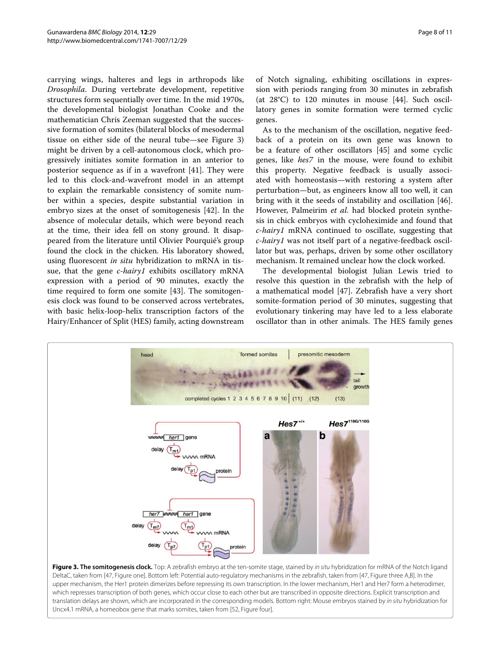carrying wings, halteres and legs in arthropods like *Drosophila*. During vertebrate development, repetitive structures form sequentially over time. In the mid 1970s, the developmental biologist Jonathan Cooke and the mathematician Chris Zeeman suggested that the successive formation of somites (bilateral blocks of mesodermal tissue on either side of the neural tube—see Figure [3\)](#page-7-0) might be driven by a cell-autonomous clock, which progressively initiates somite formation in an anterior to posterior sequence as if in a wavefront [\[41\]](#page-10-25). They were led to this clock-and-wavefront model in an attempt to explain the remarkable consistency of somite number within a species, despite substantial variation in embryo sizes at the onset of somitogenesis [\[42\]](#page-10-26). In the absence of molecular details, which were beyond reach at the time, their idea fell on stony ground. It disappeared from the literature until Olivier Pourquié's group found the clock in the chicken. His laboratory showed, using fluorescent *in situ* hybridization to mRNA in tissue, that the gene *c-hairy1* exhibits oscillatory mRNA expression with a period of 90 minutes, exactly the time required to form one somite [\[43\]](#page-10-27). The somitogenesis clock was found to be conserved across vertebrates, with basic helix-loop-helix transcription factors of the Hairy/Enhancer of Split (HES) family, acting downstream

of Notch signaling, exhibiting oscillations in expression with periods ranging from 30 minutes in zebrafish (at 28°C) to 120 minutes in mouse [\[44\]](#page-10-28). Such oscillatory genes in somite formation were termed cyclic genes.

As to the mechanism of the oscillation, negative feedback of a protein on its own gene was known to be a feature of other oscillators [\[45\]](#page-10-29) and some cyclic genes, like *hes7* in the mouse, were found to exhibit this property. Negative feedback is usually associated with homeostasis—with restoring a system after perturbation—but, as engineers know all too well, it can bring with it the seeds of instability and oscillation [\[46\]](#page-10-30). However, Palmeirim *et al.* had blocked protein synthesis in chick embryos with cycloheximide and found that *c-hairy1* mRNA continued to oscillate, suggesting that *c-hairy1* was not itself part of a negative-feedback oscillator but was, perhaps, driven by some other oscillatory mechanism. It remained unclear how the clock worked.

The developmental biologist Julian Lewis tried to resolve this question in the zebrafish with the help of a mathematical model [\[47\]](#page-10-31). Zebrafish have a very short somite-formation period of 30 minutes, suggesting that evolutionary tinkering may have led to a less elaborate oscillator than in other animals. The HES family genes



<span id="page-7-0"></span>**Figure 3. The somitogenesis clock.** Top: A zebrafish embryo at the ten-somite stage, stained by *in situ* hybridization for mRNA of the Notch ligand DeltaC, taken from [\[47,](#page-10-31) Figure one]. Bottom left: Potential auto-regulatory mechanisms in the zebrafish, taken from [\[47,](#page-10-31) Figure three A,B]. In the upper mechanism, the Her1 protein dimerizes before repressing its own transcription. In the lower mechanism, Her1 and Her7 form a heterodimer, which represses transcription of both genes, which occur close to each other but are transcribed in opposite directions. Explicit transcription and translation delays are shown, which are incorporated in the corresponding models. Bottom right: Mouse embryos stained by in situ hybridization for Uncx4.1 mRNA, a homeobox gene that marks somites, taken from [\[52,](#page-10-32) Figure four].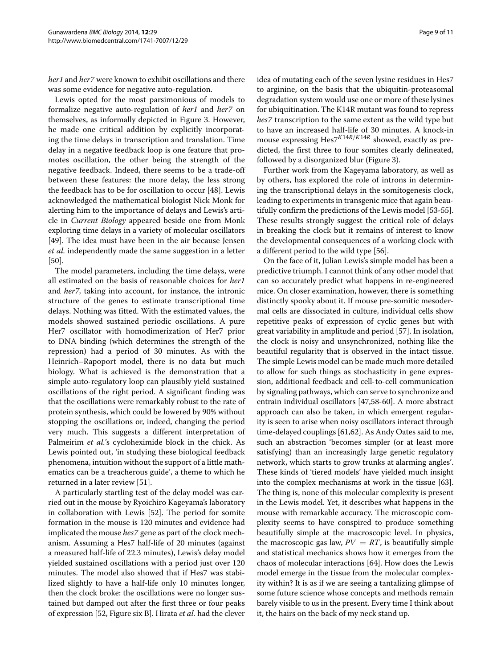*her1* and *her7* were known to exhibit oscillations and there was some evidence for negative auto-regulation.

Lewis opted for the most parsimonious of models to formalize negative auto-regulation of *her1* and *her7* on themselves, as informally depicted in Figure [3.](#page-7-0) However, he made one critical addition by explicitly incorporating the time delays in transcription and translation. Time delay in a negative feedback loop is one feature that promotes oscillation, the other being the strength of the negative feedback. Indeed, there seems to be a trade-off between these features: the more delay, the less strong the feedback has to be for oscillation to occur [\[48\]](#page-10-33). Lewis acknowledged the mathematical biologist Nick Monk for alerting him to the importance of delays and Lewis's article in *Current Biology* appeared beside one from Monk exploring time delays in a variety of molecular oscillators [\[49\]](#page-10-34). The idea must have been in the air because Jensen *et al.* independently made the same suggestion in a letter [\[50\]](#page-10-35).

The model parameters, including the time delays, were all estimated on the basis of reasonable choices for *her1* and *her7*, taking into account, for instance, the intronic structure of the genes to estimate transcriptional time delays. Nothing was fitted. With the estimated values, the models showed sustained periodic oscillations. A pure Her7 oscillator with homodimerization of Her7 prior to DNA binding (which determines the strength of the repression) had a period of 30 minutes. As with the Heinrich–Rapoport model, there is no data but much biology. What is achieved is the demonstration that a simple auto-regulatory loop can plausibly yield sustained oscillations of the right period. A significant finding was that the oscillations were remarkably robust to the rate of protein synthesis, which could be lowered by 90% without stopping the oscillations or, indeed, changing the period very much. This suggests a different interpretation of Palmeirim *et al.*'s cycloheximide block in the chick. As Lewis pointed out, 'in studying these biological feedback phenomena, intuition without the support of a little mathematics can be a treacherous guide', a theme to which he returned in a later review [\[51\]](#page-10-36).

A particularly startling test of the delay model was carried out in the mouse by Ryoichiro Kageyama's laboratory in collaboration with Lewis [\[52\]](#page-10-32). The period for somite formation in the mouse is 120 minutes and evidence had implicated the mouse *hes7* gene as part of the clock mechanism. Assuming a Hes7 half-life of 20 minutes (against a measured half-life of 22.3 minutes), Lewis's delay model yielded sustained oscillations with a period just over 120 minutes. The model also showed that if Hes7 was stabilized slightly to have a half-life only 10 minutes longer, then the clock broke: the oscillations were no longer sustained but damped out after the first three or four peaks of expression [\[52,](#page-10-32) Figure six B]. Hirata *et al.* had the clever

idea of mutating each of the seven lysine residues in Hes7 to arginine, on the basis that the ubiquitin-proteasomal degradation system would use one or more of these lysines for ubiquitination. The K14R mutant was found to repress *hes7* transcription to the same extent as the wild type but to have an increased half-life of 30 minutes. A knock-in mouse expressing Hes7*K*14*R/K*14*<sup>R</sup>* showed, exactly as predicted, the first three to four somites clearly delineated, followed by a disorganized blur (Figure [3\)](#page-7-0).

Further work from the Kageyama laboratory, as well as by others, has explored the role of introns in determining the transcriptional delays in the somitogenesis clock, leading to experiments in transgenic mice that again beautifully confirm the predictions of the Lewis model [\[53](#page-10-37)[-55\]](#page-10-38). These results strongly suggest the critical role of delays in breaking the clock but it remains of interest to know the developmental consequences of a working clock with a different period to the wild type [\[56\]](#page-10-39).

On the face of it, Julian Lewis's simple model has been a predictive triumph. I cannot think of any other model that can so accurately predict what happens in re-engineered mice. On closer examination, however, there is something distinctly spooky about it. If mouse pre-somitic mesodermal cells are dissociated in culture, individual cells show repetitive peaks of expression of cyclic genes but with great variability in amplitude and period [\[57\]](#page-10-40). In isolation, the clock is noisy and unsynchronized, nothing like the beautiful regularity that is observed in the intact tissue. The simple Lewis model can be made much more detailed to allow for such things as stochasticity in gene expression, additional feedback and cell-to-cell communication by signaling pathways, which can serve to synchronize and entrain individual oscillators [\[47,](#page-10-31)[58-](#page-10-41)[60\]](#page-10-42). A more abstract approach can also be taken, in which emergent regularity is seen to arise when noisy oscillators interact through time-delayed couplings [\[61,](#page-10-43)[62\]](#page-10-44). As Andy Oates said to me, such an abstraction 'becomes simpler (or at least more satisfying) than an increasingly large genetic regulatory network, which starts to grow trunks at alarming angles'. These kinds of 'tiered models' have yielded much insight into the complex mechanisms at work in the tissue [\[63\]](#page-10-45). The thing is, none of this molecular complexity is present in the Lewis model. Yet, it describes what happens in the mouse with remarkable accuracy. The microscopic complexity seems to have conspired to produce something beautifully simple at the macroscopic level. In physics, the macroscopic gas law,  $PV = RT$ , is beautifully simple and statistical mechanics shows how it emerges from the chaos of molecular interactions [\[64\]](#page-10-46). How does the Lewis model emerge in the tissue from the molecular complexity within? It is as if we are seeing a tantalizing glimpse of some future science whose concepts and methods remain barely visible to us in the present. Every time I think about it, the hairs on the back of my neck stand up.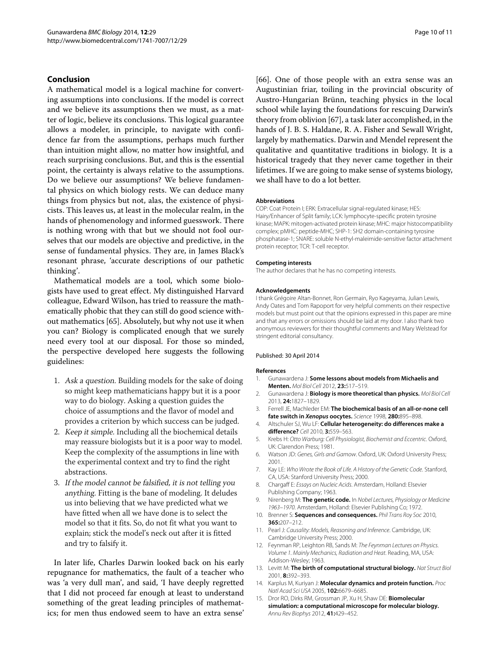#### **Conclusion**

A mathematical model is a logical machine for converting assumptions into conclusions. If the model is correct and we believe its assumptions then we must, as a matter of logic, believe its conclusions. This logical guarantee allows a modeler, in principle, to navigate with confidence far from the assumptions, perhaps much further than intuition might allow, no matter how insightful, and reach surprising conclusions. But, and this is the essential point, the certainty is always relative to the assumptions. Do we believe our assumptions? We believe fundamental physics on which biology rests. We can deduce many things from physics but not, alas, the existence of physicists. This leaves us, at least in the molecular realm, in the hands of phenomenology and informed guesswork. There is nothing wrong with that but we should not fool ourselves that our models are objective and predictive, in the sense of fundamental physics. They are, in James Black's resonant phrase, 'accurate descriptions of our pathetic thinking'.

Mathematical models are a tool, which some biologists have used to great effect. My distinguished Harvard colleague, Edward Wilson, has tried to reassure the mathematically phobic that they can still do good science without mathematics [\[65\]](#page-10-47). Absolutely, but why not use it when you can? Biology is complicated enough that we surely need every tool at our disposal. For those so minded, the perspective developed here suggests the following guidelines:

- 1. Ask <sup>a</sup> question. Building models for the sake of doing so might keep mathematicians happy but it is a poor way to do biology. Asking a question guides the choice of assumptions and the flavor of model and provides a criterion by which success can be judged.
- 2. Keep it simple. Including all the biochemical details may reassure biologists but it is a poor way to model. Keep the complexity of the assumptions in line with the experimental context and try to find the right abstractions.
- 3. If the model cannot be falsified, it is not telling you anything. Fitting is the bane of modeling. It deludes us into believing that we have predicted what we have fitted when all we have done is to select the model so that it fits. So, do not fit what you want to explain; stick the model's neck out after it is fitted and try to falsify it.

In later life, Charles Darwin looked back on his early repugnance for mathematics, the fault of a teacher who was 'a very dull man', and said, 'I have deeply regretted that I did not proceed far enough at least to understand something of the great leading principles of mathematics; for men thus endowed seem to have an extra sense'

[\[66\]](#page-10-48). One of those people with an extra sense was an Augustinian friar, toiling in the provincial obscurity of Austro-Hungarian Brünn, teaching physics in the local school while laying the foundations for rescuing Darwin's theory from oblivion [\[67\]](#page-10-49), a task later accomplished, in the hands of J. B. S. Haldane, R. A. Fisher and Sewall Wright, largely by mathematics. Darwin and Mendel represent the qualitative and quantitative traditions in biology. It is a historical tragedy that they never came together in their lifetimes. If we are going to make sense of systems biology, we shall have to do a lot better.

#### **Abbreviations**

COP: Coat Protein I; ERK: Extracellular signal-regulated kinase; HES: Hairy/Enhancer of Split family; LCK: lymphocyte-specific protein tyrosine kinase; MAPK: mitogen-activated protein kinase; MHC: major histocompatibility complex; pMHC: peptide-MHC; SHP-1: SH2 domain-containing tyrosine phosphatase-1; SNARE: soluble N-ethyl-maleimide-sensitive factor attachment protein receptor; TCR: T-cell receptor.

#### **Competing interests**

The author declares that he has no competing interests.

#### **Acknowledgements**

I thank Grégoire Altan-Bonnet, Ron Germain, Ryo Kageyama, Julian Lewis, Andy Oates and Tom Rapoport for very helpful comments on their respective models but must point out that the opinions expressed in this paper are mine and that any errors or omissions should be laid at my door. I also thank two anonymous reviewers for their thoughtful comments and Mary Welstead for stringent editorial consultancy.

#### Published: 30 April 2014

#### **References**

- <span id="page-9-0"></span>1. Gunawardena J: **Some lessons about models from Michaelis and Menten.** Mol Biol Cell 2012, **23:**517–519.
- <span id="page-9-1"></span>2. Gunawardena J: **Biology is more theoretical than physics.** Mol Biol Cell 2013, **24:**1827–1829.
- <span id="page-9-2"></span>3. Ferrell JE, Machleder EM: **The biochemical basis of an all-or-none cell fate switch in** *Xenopus* **oocytes.** Science 1998, **280:**895–898.
- <span id="page-9-3"></span>4. Altschuler SJ, Wu LF: **Cellular heterogeneity: do differences make a difference?** Cell 2010, **3:**559–563.
- <span id="page-9-4"></span>5. Krebs H: Otto Warburg: Cell Physiologist, Biochemist and Eccentric. Oxford, UK: Clarendon Press; 1981.
- <span id="page-9-5"></span>6. Watson JD: Genes, Girls and Gamow. Oxford, UK: Oxford University Press; 2001.
- <span id="page-9-6"></span>7. Kay LE: Who Wrote the Book of Life. A History of the Genetic Code. Stanford, CA, USA: Stanford University Press; 2000.
- <span id="page-9-7"></span>8. Chargaff E: Essays on Nucleic Acids. Amsterdam, Holland: Elsevier Publishing Company; 1963.
- <span id="page-9-8"></span>9. Nirenberg M: **The genetic code.** In Nobel Lectures, Physiology or Medicine 1963–1970. Amsterdam, Holland: Elsevier Publishing Co; 1972.
- <span id="page-9-9"></span>10. Brenner S: **Sequences and consequences.** Phil Trans Roy Soc 2010, **365:**207–212.
- <span id="page-9-10"></span>11. Pearl J: Causality: Models, Reasoning and Inference. Cambridge, UK: Cambridge University Press; 2000.
- <span id="page-9-11"></span>12. Feynman RP, Leighton RB, Sands M: The Feynman Lectures on Physics. Volume 1. Mainly Mechanics, Radiation and Heat. Reading, MA, USA: Addison-Wesley; 1963.
- <span id="page-9-12"></span>13. Levitt M: **The birth of computational structural biology.** Nat Struct Biol 2001, **8:**392–393.
- <span id="page-9-13"></span>14. Karplus M, Kuriyan J: **Molecular dynamics and protein function.** Proc Natl Acad Sci USA 2005, **102:**6679–6685.
- <span id="page-9-14"></span>15. Dror RO, Dirks RM, Grossman JP, Xu H, Shaw DE: **Biomolecular simulation: a computational microscope for molecular biology.** Annu Rev Biophys 2012, **41:**429–452.